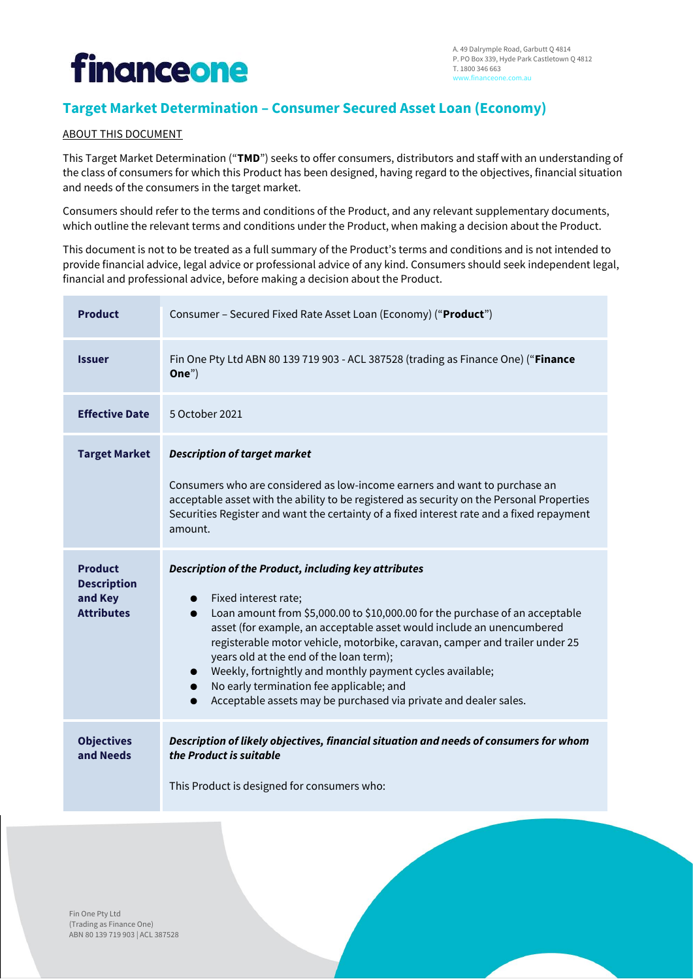

#### **Target Market Determination – Consumer Secured Asset Loan (Economy)**

#### ABOUT THIS DOCUMENT

This Target Market Determination ("**TMD**") seeks to offer consumers, distributors and staff with an understanding of the class of consumers for which this Product has been designed, having regard to the objectives, financial situation and needs of the consumers in the target market.

Consumers should refer to the terms and conditions of the Product, and any relevant supplementary documents, which outline the relevant terms and conditions under the Product, when making a decision about the Product.

This document is not to be treated as a full summary of the Product's terms and conditions and is not intended to provide financial advice, legal advice or professional advice of any kind. Consumers should seek independent legal, financial and professional advice, before making a decision about the Product.

| <b>Product</b>                                                       | Consumer - Secured Fixed Rate Asset Loan (Economy) ("Product")                                                                                                                                                                                                                                                                                                                                                                                                                                                                                                           |
|----------------------------------------------------------------------|--------------------------------------------------------------------------------------------------------------------------------------------------------------------------------------------------------------------------------------------------------------------------------------------------------------------------------------------------------------------------------------------------------------------------------------------------------------------------------------------------------------------------------------------------------------------------|
| <b>Issuer</b>                                                        | Fin One Pty Ltd ABN 80 139 719 903 - ACL 387528 (trading as Finance One) ("Finance<br>One")                                                                                                                                                                                                                                                                                                                                                                                                                                                                              |
| <b>Effective Date</b>                                                | 5 October 2021                                                                                                                                                                                                                                                                                                                                                                                                                                                                                                                                                           |
| <b>Target Market</b>                                                 | <b>Description of target market</b><br>Consumers who are considered as low-income earners and want to purchase an<br>acceptable asset with the ability to be registered as security on the Personal Properties<br>Securities Register and want the certainty of a fixed interest rate and a fixed repayment<br>amount.                                                                                                                                                                                                                                                   |
| <b>Product</b><br><b>Description</b><br>and Key<br><b>Attributes</b> | Description of the Product, including key attributes<br>• Fixed interest rate;<br>Loan amount from \$5,000.00 to \$10,000.00 for the purchase of an acceptable<br>$\bullet$<br>asset (for example, an acceptable asset would include an unencumbered<br>registerable motor vehicle, motorbike, caravan, camper and trailer under 25<br>years old at the end of the loan term);<br>Weekly, fortnightly and monthly payment cycles available;<br>$\bullet$<br>No early termination fee applicable; and<br>Acceptable assets may be purchased via private and dealer sales. |
| <b>Objectives</b><br>and Needs                                       | Description of likely objectives, financial situation and needs of consumers for whom<br>the Product is suitable<br>This Product is designed for consumers who:                                                                                                                                                                                                                                                                                                                                                                                                          |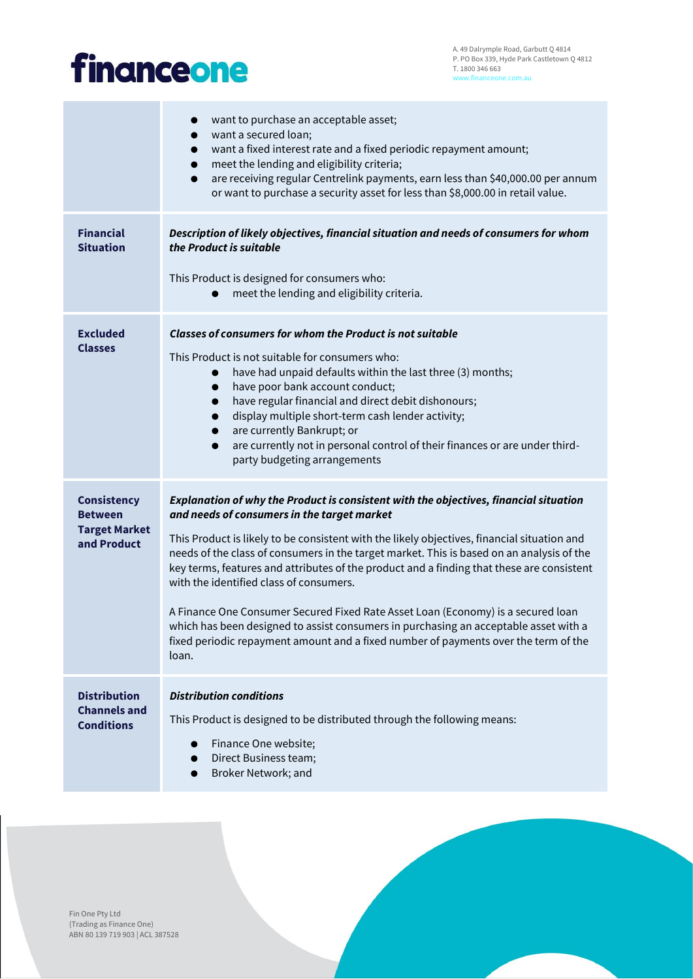### financeone

|                                                                             | want to purchase an acceptable asset;<br>want a secured loan;<br>$\bullet$<br>want a fixed interest rate and a fixed periodic repayment amount;<br>meet the lending and eligibility criteria;<br>are receiving regular Centrelink payments, earn less than \$40,000.00 per annum<br>$\bullet$<br>or want to purchase a security asset for less than \$8,000.00 in retail value.                                                                                                                                                                                                                                                                                                                                                                      |
|-----------------------------------------------------------------------------|------------------------------------------------------------------------------------------------------------------------------------------------------------------------------------------------------------------------------------------------------------------------------------------------------------------------------------------------------------------------------------------------------------------------------------------------------------------------------------------------------------------------------------------------------------------------------------------------------------------------------------------------------------------------------------------------------------------------------------------------------|
| <b>Financial</b><br><b>Situation</b>                                        | Description of likely objectives, financial situation and needs of consumers for whom<br>the Product is suitable<br>This Product is designed for consumers who:<br>meet the lending and eligibility criteria.<br>$\bullet$                                                                                                                                                                                                                                                                                                                                                                                                                                                                                                                           |
| <b>Excluded</b><br><b>Classes</b>                                           | <b>Classes of consumers for whom the Product is not suitable</b><br>This Product is not suitable for consumers who:<br>have had unpaid defaults within the last three (3) months;<br>$\bullet$<br>have poor bank account conduct;<br>$\bullet$<br>have regular financial and direct debit dishonours;<br>$\bullet$<br>display multiple short-term cash lender activity;<br>$\bullet$<br>are currently Bankrupt; or<br>$\bullet$<br>are currently not in personal control of their finances or are under third-<br>$\bullet$<br>party budgeting arrangements                                                                                                                                                                                          |
| <b>Consistency</b><br><b>Between</b><br><b>Target Market</b><br>and Product | Explanation of why the Product is consistent with the objectives, financial situation<br>and needs of consumers in the target market<br>This Product is likely to be consistent with the likely objectives, financial situation and<br>needs of the class of consumers in the target market. This is based on an analysis of the<br>key terms, features and attributes of the product and a finding that these are consistent<br>with the identified class of consumers.<br>A Finance One Consumer Secured Fixed Rate Asset Loan (Economy) is a secured loan<br>which has been designed to assist consumers in purchasing an acceptable asset with a<br>fixed periodic repayment amount and a fixed number of payments over the term of the<br>loan. |
| <b>Distribution</b><br><b>Channels and</b><br><b>Conditions</b>             | <b>Distribution conditions</b><br>This Product is designed to be distributed through the following means:<br>Finance One website;<br>0<br>Direct Business team;<br>Broker Network; and                                                                                                                                                                                                                                                                                                                                                                                                                                                                                                                                                               |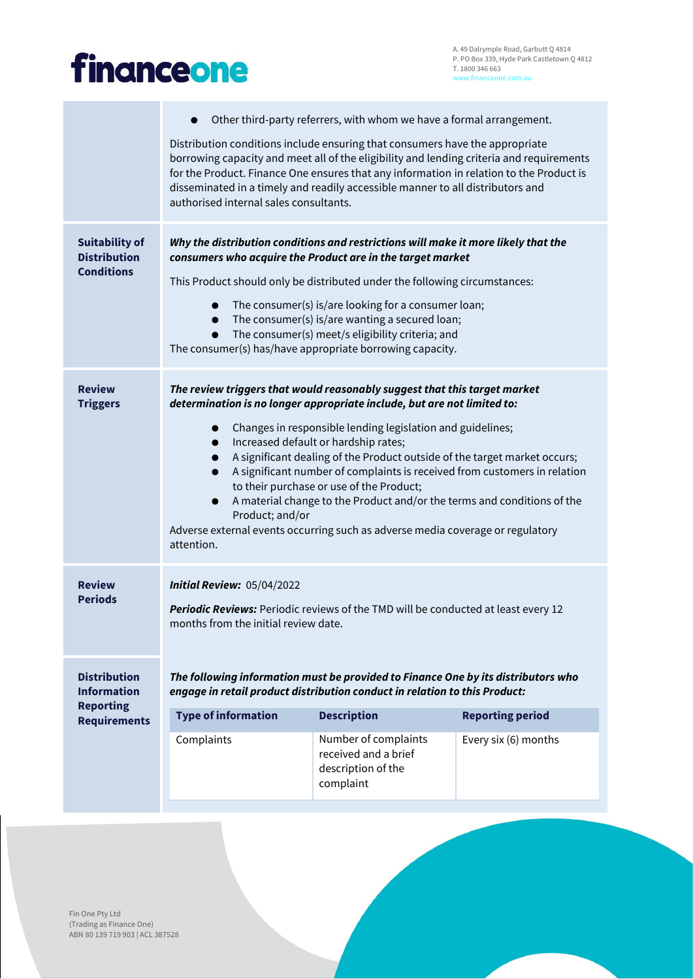## financeone

A. 49 Dalrymple Road, Garbutt Q 4814 P. PO Box 339, Hyde Park Castletown Q 4812 T. 1800 346 663 www.financeone.com.au

|                                                                   | Other third-party referrers, with whom we have a formal arrangement.<br>Distribution conditions include ensuring that consumers have the appropriate<br>borrowing capacity and meet all of the eligibility and lending criteria and requirements<br>for the Product. Finance One ensures that any information in relation to the Product is<br>disseminated in a timely and readily accessible manner to all distributors and<br>authorised internal sales consultants.                                                                                                                                                                                                                               |                                                                                 |                         |  |  |
|-------------------------------------------------------------------|-------------------------------------------------------------------------------------------------------------------------------------------------------------------------------------------------------------------------------------------------------------------------------------------------------------------------------------------------------------------------------------------------------------------------------------------------------------------------------------------------------------------------------------------------------------------------------------------------------------------------------------------------------------------------------------------------------|---------------------------------------------------------------------------------|-------------------------|--|--|
| <b>Suitability of</b><br><b>Distribution</b><br><b>Conditions</b> | Why the distribution conditions and restrictions will make it more likely that the<br>consumers who acquire the Product are in the target market<br>This Product should only be distributed under the following circumstances:<br>The consumer(s) is/are looking for a consumer loan;<br>$\bullet$<br>The consumer(s) is/are wanting a secured loan;<br>$\bullet$<br>The consumer(s) meet/s eligibility criteria; and<br>$\bullet$<br>The consumer(s) has/have appropriate borrowing capacity.                                                                                                                                                                                                        |                                                                                 |                         |  |  |
| <b>Review</b><br><b>Triggers</b>                                  | The review triggers that would reasonably suggest that this target market<br>determination is no longer appropriate include, but are not limited to:<br>Changes in responsible lending legislation and guidelines;<br>$\bullet$<br>Increased default or hardship rates;<br>$\bullet$<br>A significant dealing of the Product outside of the target market occurs;<br>$\bullet$<br>A significant number of complaints is received from customers in relation<br>to their purchase or use of the Product;<br>A material change to the Product and/or the terms and conditions of the<br>Product; and/or<br>Adverse external events occurring such as adverse media coverage or regulatory<br>attention. |                                                                                 |                         |  |  |
| <b>Review</b><br><b>Periods</b>                                   | Initial Review: 05/04/2022<br>Periodic Reviews: Periodic reviews of the TMD will be conducted at least every 12<br>months from the initial review date.                                                                                                                                                                                                                                                                                                                                                                                                                                                                                                                                               |                                                                                 |                         |  |  |
| <b>Distribution</b><br><b>Information</b>                         | The following information must be provided to Finance One by its distributors who<br>engage in retail product distribution conduct in relation to this Product:                                                                                                                                                                                                                                                                                                                                                                                                                                                                                                                                       |                                                                                 |                         |  |  |
| <b>Reporting</b><br><b>Requirements</b>                           | <b>Type of information</b>                                                                                                                                                                                                                                                                                                                                                                                                                                                                                                                                                                                                                                                                            | <b>Description</b>                                                              | <b>Reporting period</b> |  |  |
|                                                                   | Complaints                                                                                                                                                                                                                                                                                                                                                                                                                                                                                                                                                                                                                                                                                            | Number of complaints<br>received and a brief<br>description of the<br>complaint | Every six (6) months    |  |  |
|                                                                   |                                                                                                                                                                                                                                                                                                                                                                                                                                                                                                                                                                                                                                                                                                       |                                                                                 |                         |  |  |